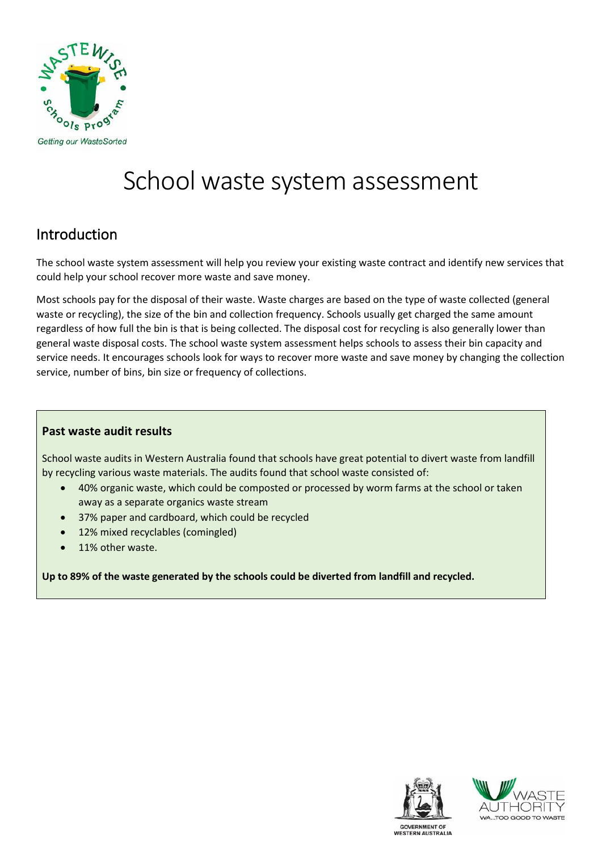

# School waste system assessment

### Introduction

The school waste system assessment will help you review your existing waste contract and identify new services that could help your school recover more waste and save money.

Most schools pay for the disposal of their waste. Waste charges are based on the type of waste collected (general waste or recycling), the size of the bin and collection frequency. Schools usually get charged the same amount regardless of how full the bin is that is being collected. The disposal cost for recycling is also generally lower than general waste disposal costs. The school waste system assessment helps schools to assess their bin capacity and service needs. It encourages schools look for ways to recover more waste and save money by changing the collection service, number of bins, bin size or frequency of collections.

#### **Past waste audit results**

School waste audits in Western Australia found that schools have great potential to divert waste from landfill by recycling various waste materials. The audits found that school waste consisted of:

- 40% organic waste, which could be composted or processed by worm farms at the school or taken away as a separate organics waste stream
- 37% paper and cardboard, which could be recycled
- 12% mixed recyclables (comingled)
- 11% other waste.

**Up to 89% of the waste generated by the schools could be diverted from landfill and recycled.**



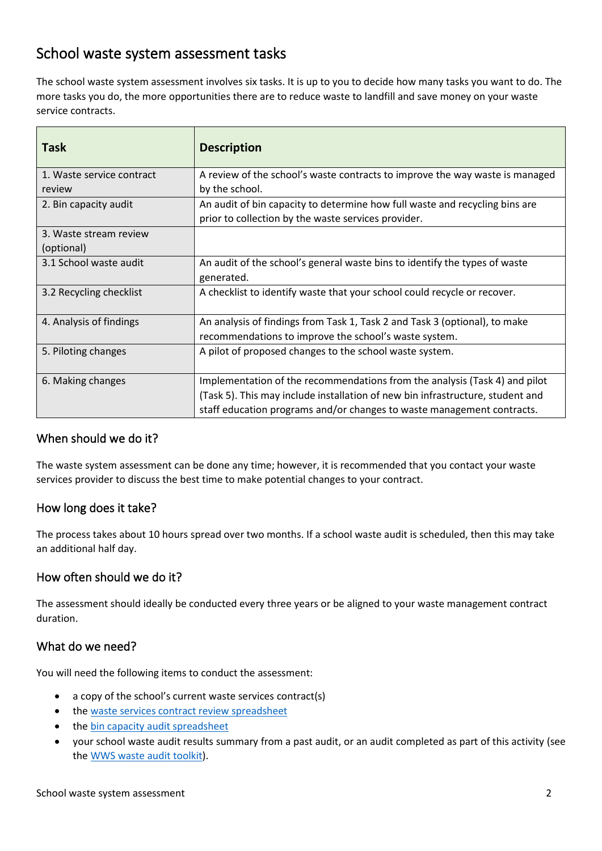### School waste system assessment tasks

The school waste system assessment involves six tasks. It is up to you to decide how many tasks you want to do. The more tasks you do, the more opportunities there are to reduce waste to landfill and save money on your waste service contracts.

| <b>Task</b>               | <b>Description</b>                                                             |
|---------------------------|--------------------------------------------------------------------------------|
| 1. Waste service contract | A review of the school's waste contracts to improve the way waste is managed   |
| review                    | by the school.                                                                 |
| 2. Bin capacity audit     | An audit of bin capacity to determine how full waste and recycling bins are    |
|                           | prior to collection by the waste services provider.                            |
| 3. Waste stream review    |                                                                                |
| (optional)                |                                                                                |
| 3.1 School waste audit    | An audit of the school's general waste bins to identify the types of waste     |
|                           | generated.                                                                     |
| 3.2 Recycling checklist   | A checklist to identify waste that your school could recycle or recover.       |
|                           |                                                                                |
| 4. Analysis of findings   | An analysis of findings from Task 1, Task 2 and Task 3 (optional), to make     |
|                           | recommendations to improve the school's waste system.                          |
| 5. Piloting changes       | A pilot of proposed changes to the school waste system.                        |
|                           |                                                                                |
| 6. Making changes         | Implementation of the recommendations from the analysis (Task 4) and pilot     |
|                           | (Task 5). This may include installation of new bin infrastructure, student and |
|                           | staff education programs and/or changes to waste management contracts.         |

#### When should we do it?

The waste system assessment can be done any time; however, it is recommended that you contact your waste services provider to discuss the best time to make potential changes to your contract.

#### How long does it take?

The process takes about 10 hours spread over two months. If a school waste audit is scheduled, then this may take an additional half day.

#### How often should we do it?

The assessment should ideally be conducted every three years or be aligned to your waste management contract duration.

#### What do we need?

You will need the following items to conduct the assessment:

- a copy of the school's current waste services contract(s)
- th[e waste services contract review](https://www.wasteauthority.wa.gov.au/images/resources/wws/Waste_services_contract_review_spreadsheet.xlsx) spreadsheet
- the bin capacity [audit spreadsheet](https://www.wasteauthority.wa.gov.au/images/resources/wws/Bin_capacity_audit_spreadsheet.xlsx)
- your school waste audit results summary from a past audit, or an audit completed as part of this activity (see th[e WWS waste audit toolkit\)](https://www.wasteauthority.wa.gov.au/images/resources/wws/Files/2019/10/WWS_Toolkits_-Waste_Audit.pdf).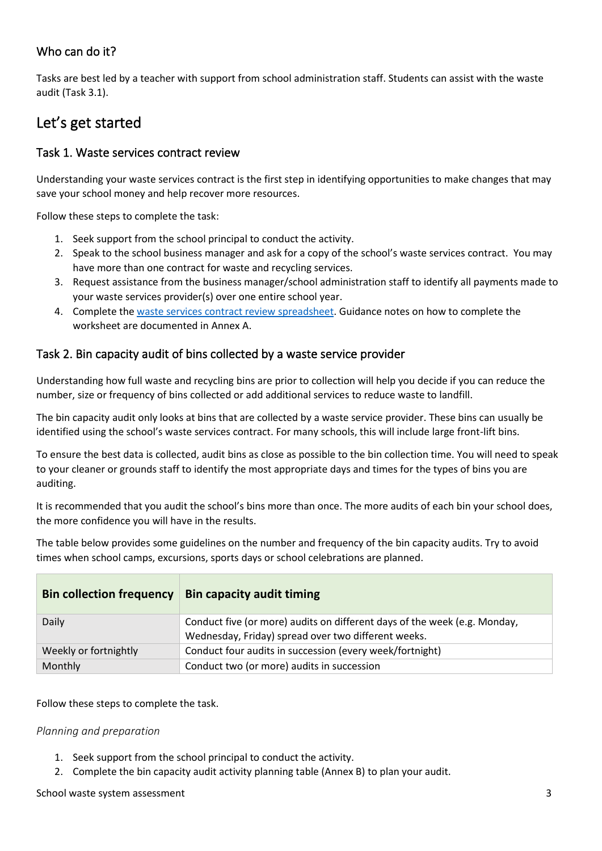### Who can do it?

Tasks are best led by a teacher with support from school administration staff. Students can assist with the waste audit (Task 3.1).

## Let's get started

#### Task 1. Waste services contract review

Understanding your waste services contract is the first step in identifying opportunities to make changes that may save your school money and help recover more resources.

Follow these steps to complete the task:

- 1. Seek support from the school principal to conduct the activity.
- 2. Speak to the school business manager and ask for a copy of the school's waste services contract. You may have more than one contract for waste and recycling services.
- 3. Request assistance from the business manager/school administration staff to identify all payments made to your waste services provider(s) over one entire school year.
- 4. Complete the [waste services contract review](https://www.wasteauthority.wa.gov.au/images/resources/wws/Waste_services_contract_review_spreadsheet.xlsx) spreadsheet. Guidance notes on how to complete the worksheet are documented in Annex A.

#### Task 2. Bin capacity audit of bins collected by a waste service provider

Understanding how full waste and recycling bins are prior to collection will help you decide if you can reduce the number, size or frequency of bins collected or add additional services to reduce waste to landfill.

The bin capacity audit only looks at bins that are collected by a waste service provider. These bins can usually be identified using the school's waste services contract. For many schools, this will include large front-lift bins.

To ensure the best data is collected, audit bins as close as possible to the bin collection time. You will need to speak to your cleaner or grounds staff to identify the most appropriate days and times for the types of bins you are auditing.

It is recommended that you audit the school's bins more than once. The more audits of each bin your school does, the more confidence you will have in the results.

The table below provides some guidelines on the number and frequency of the bin capacity audits. Try to avoid times when school camps, excursions, sports days or school celebrations are planned.

| <b>Bin collection frequency</b> | <b>Bin capacity audit timing</b>                                                                                                 |
|---------------------------------|----------------------------------------------------------------------------------------------------------------------------------|
| Daily                           | Conduct five (or more) audits on different days of the week (e.g. Monday,<br>Wednesday, Friday) spread over two different weeks. |
| Weekly or fortnightly           | Conduct four audits in succession (every week/fortnight)                                                                         |
| Monthly                         | Conduct two (or more) audits in succession                                                                                       |

Follow these steps to complete the task.

#### *Planning and preparation*

- 1. Seek support from the school principal to conduct the activity.
- 2. Complete the bin capacity audit activity planning table (Annex B) to plan your audit.

School waste system assessment 33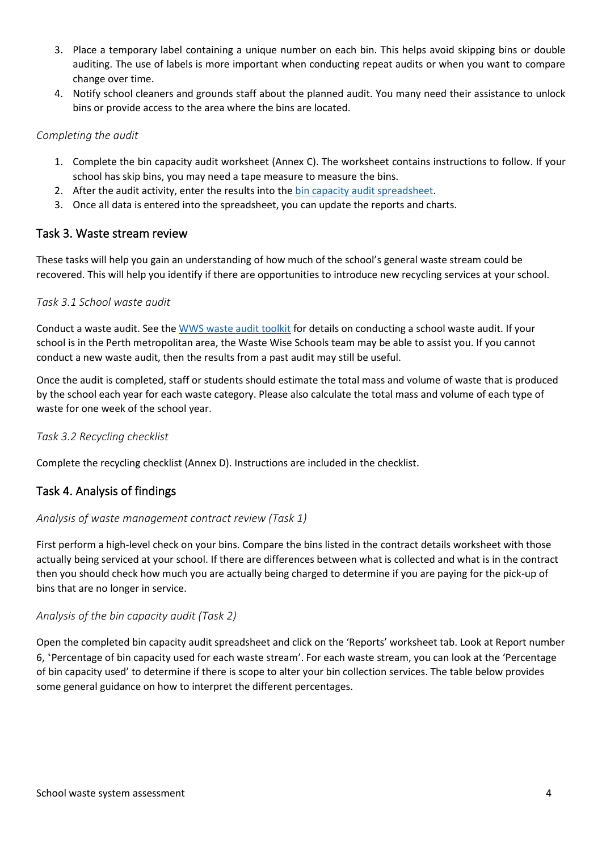- 3. Place a temporary label containing a unique number on each bin. This helps avoid skipping bins or double auditing. The use of labels is more important when conducting repeat audits or when you want to compare change over time.
- 4. Notify school cleaners and grounds staff about the planned audit. You many need their assistance to unlock bins or provide access to the area where the bins are located.

#### *Completing the audit*

- 1. Complete the bin capacity audit worksheet (Annex C). The worksheet contains instructions to follow. If your school has skip bins, you may need a tape measure to measure the bins.
- 2. After the audit activity, enter the results into the bin capacity [audit spreadsheet.](https://www.wasteauthority.wa.gov.au/images/resources/wws/Bin_capacity_audit_spreadsheet.xlsx)
- 3. Once all data is entered into the spreadsheet, you can update the reports and charts.

#### Task 3. Waste stream review

These tasks will help you gain an understanding of how much of the school's general waste stream could be recovered. This will help you identify if there are opportunities to introduce new recycling services at your school.

#### *Task 3.1 School waste audit*

Conduct a waste audit. See the [WWS waste audit toolkit](https://www.wasteauthority.wa.gov.au/images/resources/wws/Files/2019/10/WWS_Toolkits_-Waste_Audit.pdf) for details on conducting a school waste audit. If your school is in the Perth metropolitan area, the Waste Wise Schools team may be able to assist you. If you cannot conduct a new waste audit, then the results from a past audit may still be useful.

Once the audit is completed, staff or students should estimate the total mass and volume of waste that is produced by the school each year for each waste category. Please also calculate the total mass and volume of each type of waste for one week of the school year.

#### *Task 3.2 Recycling checklist*

Complete the recycling checklist (Annex D). Instructions are included in the checklist.

#### Task 4. Analysis of findings

#### *Analysis of waste management contract review (Task 1)*

First perform a high-level check on your bins. Compare the bins listed in the contract details worksheet with those actually being serviced at your school. If there are differences between what is collected and what is in the contract then you should check how much you are actually being charged to determine if you are paying for the pick-up of bins that are no longer in service.

#### *Analysis of the bin capacity audit (Task 2)*

Open the completed bin capacity audit spreadsheet and click on the 'Reports' worksheet tab. Look at Report number 6, 'Percentage of bin capacity used for each waste stream'. For each waste stream, you can look at the 'Percentage of bin capacity used' to determine if there is scope to alter your bin collection services. The table below provides some general guidance on how to interpret the different percentages.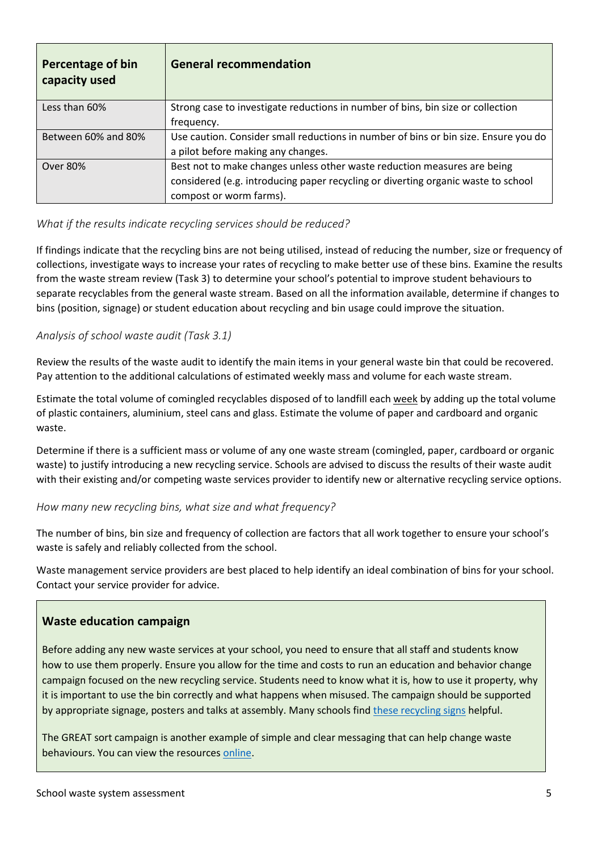| <b>Percentage of bin</b><br>capacity used | <b>General recommendation</b>                                                       |
|-------------------------------------------|-------------------------------------------------------------------------------------|
| Less than 60%                             | Strong case to investigate reductions in number of bins, bin size or collection     |
|                                           | frequency.                                                                          |
| Between 60% and 80%                       | Use caution. Consider small reductions in number of bins or bin size. Ensure you do |
|                                           | a pilot before making any changes.                                                  |
| Over 80%                                  | Best not to make changes unless other waste reduction measures are being            |
|                                           | considered (e.g. introducing paper recycling or diverting organic waste to school   |
|                                           | compost or worm farms).                                                             |

#### *What if the results indicate recycling services should be reduced?*

If findings indicate that the recycling bins are not being utilised, instead of reducing the number, size or frequency of collections, investigate ways to increase your rates of recycling to make better use of these bins. Examine the results from the waste stream review (Task 3) to determine your school's potential to improve student behaviours to separate recyclables from the general waste stream. Based on all the information available, determine if changes to bins (position, signage) or student education about recycling and bin usage could improve the situation.

#### *Analysis of school waste audit (Task 3.1)*

Review the results of the waste audit to identify the main items in your general waste bin that could be recovered. Pay attention to the additional calculations of estimated weekly mass and volume for each waste stream.

Estimate the total volume of comingled recyclables disposed of to landfill each week by adding up the total volume of plastic containers, aluminium, steel cans and glass. Estimate the volume of paper and cardboard and organic waste.

Determine if there is a sufficient mass or volume of any one waste stream (comingled, paper, cardboard or organic waste) to justify introducing a new recycling service. Schools are advised to discuss the results of their waste audit with their existing and/or competing waste services provider to identify new or alternative recycling service options.

#### *How many new recycling bins, what size and what frequency?*

The number of bins, bin size and frequency of collection are factors that all work together to ensure your school's waste is safely and reliably collected from the school.

Waste management service providers are best placed to help identify an ideal combination of bins for your school. Contact your service provider for advice.

#### **Waste education campaign**

Before adding any new waste services at your school, you need to ensure that all staff and students know how to use them properly. Ensure you allow for the time and costs to run an education and behavior change campaign focused on the new recycling service. Students need to know what it is, how to use it property, why it is important to use the bin correctly and what happens when misused. The campaign should be supported by appropriate signage, posters and talks at assembly. Many schools find [these recycling signs](https://www.wastesorted.wa.gov.au/schools/resources) helpful.

The GREAT sort campaign is another example of simple and clear messaging that can help change waste behaviours. You can view the resource[s online.](http://www.wastesorted.wa.gov.au/)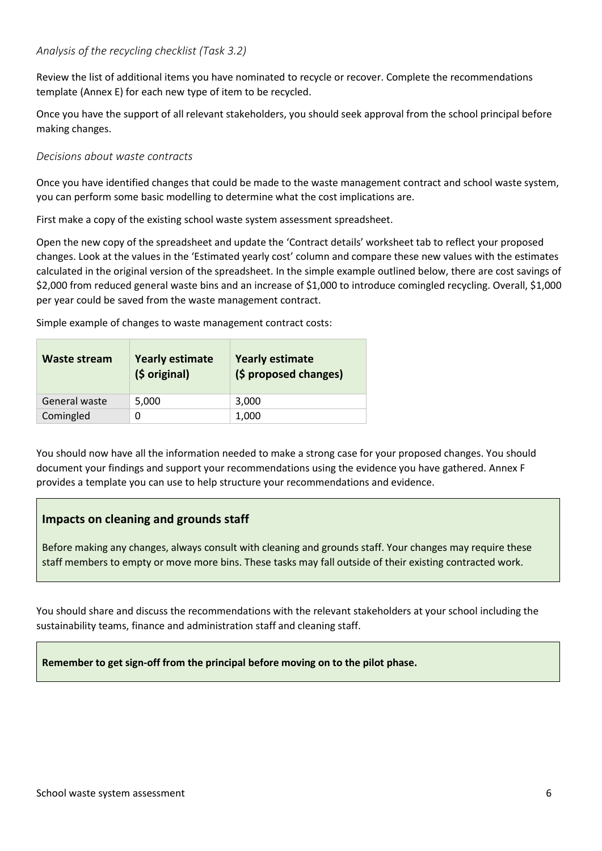#### *Analysis of the recycling checklist (Task 3.2)*

Review the list of additional items you have nominated to recycle or recover. Complete the recommendations template (Annex E) for each new type of item to be recycled.

Once you have the support of all relevant stakeholders, you should seek approval from the school principal before making changes.

#### *Decisions about waste contracts*

Once you have identified changes that could be made to the waste management contract and school waste system, you can perform some basic modelling to determine what the cost implications are.

First make a copy of the existing school waste system assessment spreadsheet.

Open the new copy of the spreadsheet and update the 'Contract details' worksheet tab to reflect your proposed changes. Look at the values in the 'Estimated yearly cost' column and compare these new values with the estimates calculated in the original version of the spreadsheet. In the simple example outlined below, there are cost savings of \$2,000 from reduced general waste bins and an increase of \$1,000 to introduce comingled recycling. Overall, \$1,000 per year could be saved from the waste management contract.

Simple example of changes to waste management contract costs:

| Waste stream  | <b>Yearly estimate</b><br>(\$ original) | <b>Yearly estimate</b><br>(\$ proposed changes) |  |
|---------------|-----------------------------------------|-------------------------------------------------|--|
| General waste | 5,000                                   | 3,000                                           |  |
| Comingled     | 0                                       | 1,000                                           |  |

You should now have all the information needed to make a strong case for your proposed changes. You should document your findings and support your recommendations using the evidence you have gathered. Annex F provides a template you can use to help structure your recommendations and evidence.

#### **Impacts on cleaning and grounds staff**

Before making any changes, always consult with cleaning and grounds staff. Your changes may require these staff members to empty or move more bins. These tasks may fall outside of their existing contracted work.

You should share and discuss the recommendations with the relevant stakeholders at your school including the sustainability teams, finance and administration staff and cleaning staff.

**Remember to get sign-off from the principal before moving on to the pilot phase.**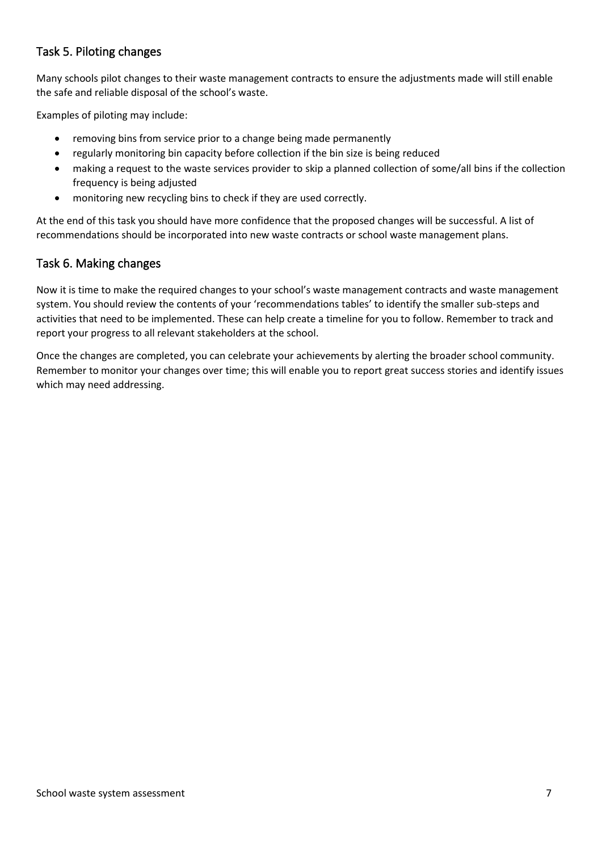#### Task 5. Piloting changes

Many schools pilot changes to their waste management contracts to ensure the adjustments made will still enable the safe and reliable disposal of the school's waste.

Examples of piloting may include:

- removing bins from service prior to a change being made permanently
- regularly monitoring bin capacity before collection if the bin size is being reduced
- making a request to the waste services provider to skip a planned collection of some/all bins if the collection frequency is being adjusted
- monitoring new recycling bins to check if they are used correctly.

At the end of this task you should have more confidence that the proposed changes will be successful. A list of recommendations should be incorporated into new waste contracts or school waste management plans.

#### Task 6. Making changes

Now it is time to make the required changes to your school's waste management contracts and waste management system. You should review the contents of your 'recommendations tables' to identify the smaller sub-steps and activities that need to be implemented. These can help create a timeline for you to follow. Remember to track and report your progress to all relevant stakeholders at the school.

Once the changes are completed, you can celebrate your achievements by alerting the broader school community. Remember to monitor your changes over time; this will enable you to report great success stories and identify issues which may need addressing.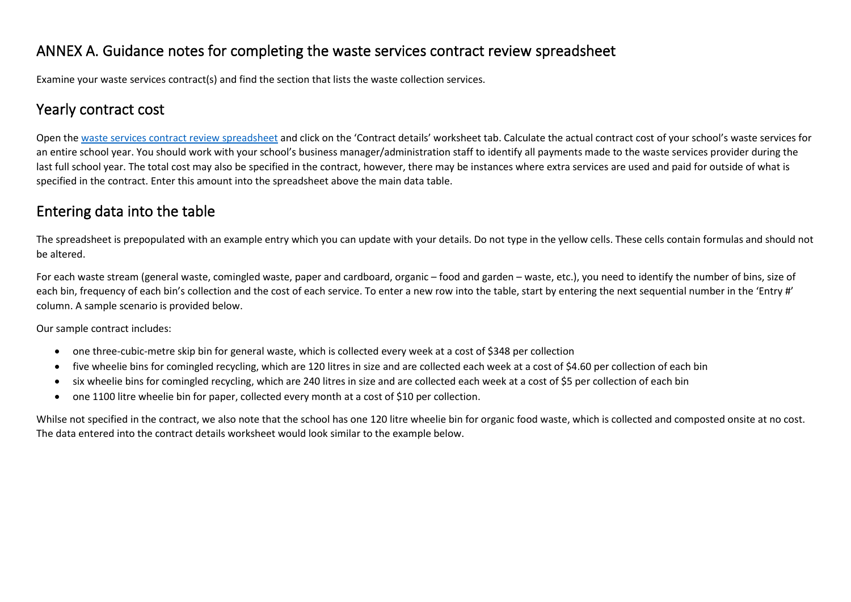### ANNEX A. Guidance notes for completing the waste services contract review spreadsheet

Examine your waste services contract(s) and find the section that lists the waste collection services.

### Yearly contract cost

Open the [waste services contract review spreadsheet](https://www.wasteauthority.wa.gov.au/images/resources/wws/Waste_services_contract_review_spreadsheet.xlsx) and click on the 'Contract details' worksheet tab. Calculate the actual contract cost of your school's waste services for an entire school year. You should work with your school's business manager/administration staff to identify all payments made to the waste services provider during the last full school year. The total cost may also be specified in the contract, however, there may be instances where extra services are used and paid for outside of what is specified in the contract. Enter this amount into the spreadsheet above the main data table.

### Entering data into the table

The spreadsheet is prepopulated with an example entry which you can update with your details. Do not type in the yellow cells. These cells contain formulas and should not be altered.

For each waste stream (general waste, comingled waste, paper and cardboard, organic – food and garden – waste, etc.), you need to identify the number of bins, size of each bin, frequency of each bin's collection and the cost of each service. To enter a new row into the table, start by entering the next sequential number in the 'Entry #' column. A sample scenario is provided below.

Our sample contract includes:

- one three-cubic-metre skip bin for general waste, which is collected every week at a cost of \$348 per collection
- five wheelie bins for comingled recycling, which are 120 litres in size and are collected each week at a cost of \$4.60 per collection of each bin
- six wheelie bins for comingled recycling, which are 240 litres in size and are collected each week at a cost of \$5 per collection of each bin
- one 1100 litre wheelie bin for paper, collected every month at a cost of \$10 per collection.

Whilse not specified in the contract, we also note that the school has one 120 litre wheelie bin for organic food waste, which is collected and composted onsite at no cost. The data entered into the contract details worksheet would look similar to the example below.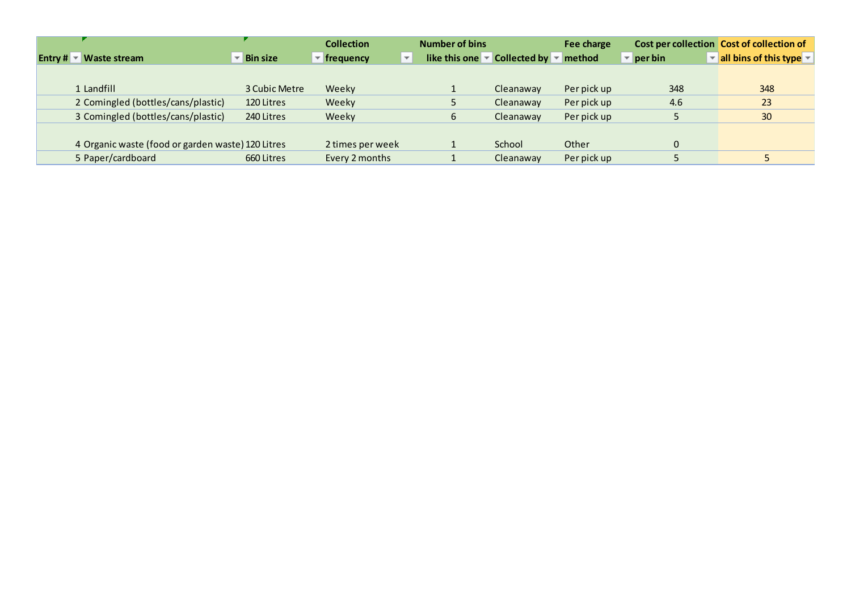|                                                             |                                   | <b>Collection</b> | <b>Number of bins</b>    |                                                                               | Fee charge  |                                  | Cost per collection Cost of collection of  |
|-------------------------------------------------------------|-----------------------------------|-------------------|--------------------------|-------------------------------------------------------------------------------|-------------|----------------------------------|--------------------------------------------|
| <b>Entry # <math>\blacktriangledown</math> Waste stream</b> | $\overline{\phantom{a}}$ Bin size | frequency         | $\overline{\phantom{a}}$ | like this one $\blacktriangleright$ Collected by $\blacktriangleright$ method |             | $\overline{\phantom{a}}$ per bin | all bins of this type $\blacktriangledown$ |
|                                                             |                                   |                   |                          |                                                                               |             |                                  |                                            |
| 1 Landfill                                                  | 3 Cubic Metre                     | Weeky             |                          | Cleanaway                                                                     | Per pick up | 348                              | 348                                        |
| 2 Comingled (bottles/cans/plastic)                          | 120 Litres                        | Weeky             |                          | Cleanaway                                                                     | Per pick up | 4.6                              | 23                                         |
| 3 Comingled (bottles/cans/plastic)                          | 240 Litres                        | Weeky             | ь                        | Cleanaway                                                                     | Per pick up |                                  | 30 <sup>2</sup>                            |
|                                                             |                                   |                   |                          |                                                                               |             |                                  |                                            |
| 4 Organic waste (food or garden waste) 120 Litres           |                                   | 2 times per week  |                          | School                                                                        | Other       | 0                                |                                            |
| 5 Paper/cardboard                                           | 660 Litres                        | Every 2 months    |                          | Cleanaway                                                                     | Per pick up |                                  |                                            |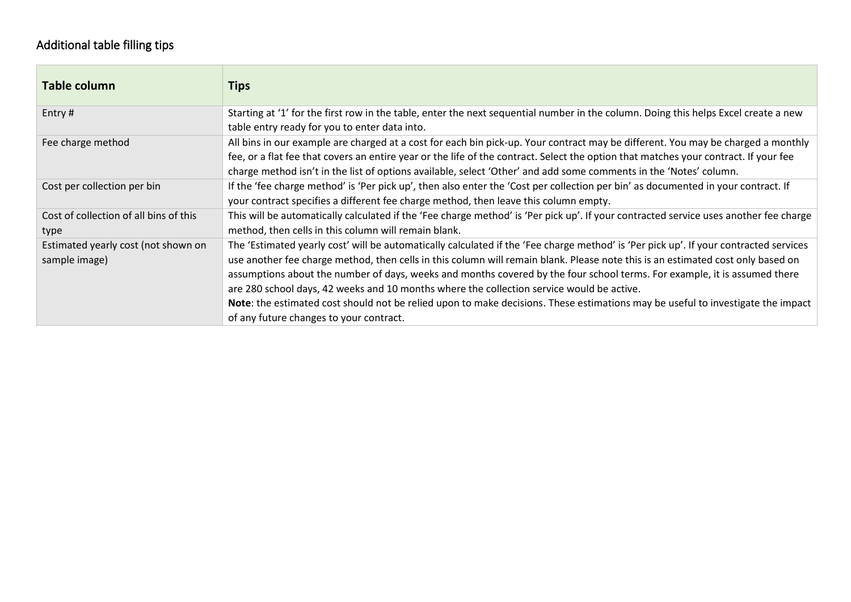### Additional table filling tips

| Table column                           | Tips                                                                                                                                  |
|----------------------------------------|---------------------------------------------------------------------------------------------------------------------------------------|
| Entry#                                 | Starting at '1' for the first row in the table, enter the next sequential number in the column. Doing this helps Excel create a new   |
|                                        | table entry ready for you to enter data into.                                                                                         |
| Fee charge method                      | All bins in our example are charged at a cost for each bin pick-up. Your contract may be different. You may be charged a monthly      |
|                                        | fee, or a flat fee that covers an entire year or the life of the contract. Select the option that matches your contract. If your fee  |
|                                        | charge method isn't in the list of options available, select 'Other' and add some comments in the 'Notes' column.                     |
| Cost per collection per bin            | If the 'fee charge method' is 'Per pick up', then also enter the 'Cost per collection per bin' as documented in your contract. If     |
|                                        | your contract specifies a different fee charge method, then leave this column empty.                                                  |
| Cost of collection of all bins of this | This will be automatically calculated if the 'Fee charge method' is 'Per pick up'. If your contracted service uses another fee charge |
| type                                   | method, then cells in this column will remain blank.                                                                                  |
| Estimated yearly cost (not shown on    | The 'Estimated yearly cost' will be automatically calculated if the 'Fee charge method' is 'Per pick up'. If your contracted services |
| sample image)                          | use another fee charge method, then cells in this column will remain blank. Please note this is an estimated cost only based on       |
|                                        | assumptions about the number of days, weeks and months covered by the four school terms. For example, it is assumed there             |
|                                        | are 280 school days, 42 weeks and 10 months where the collection service would be active.                                             |
|                                        | Note: the estimated cost should not be relied upon to make decisions. These estimations may be useful to investigate the impact       |
|                                        | of any future changes to your contract.                                                                                               |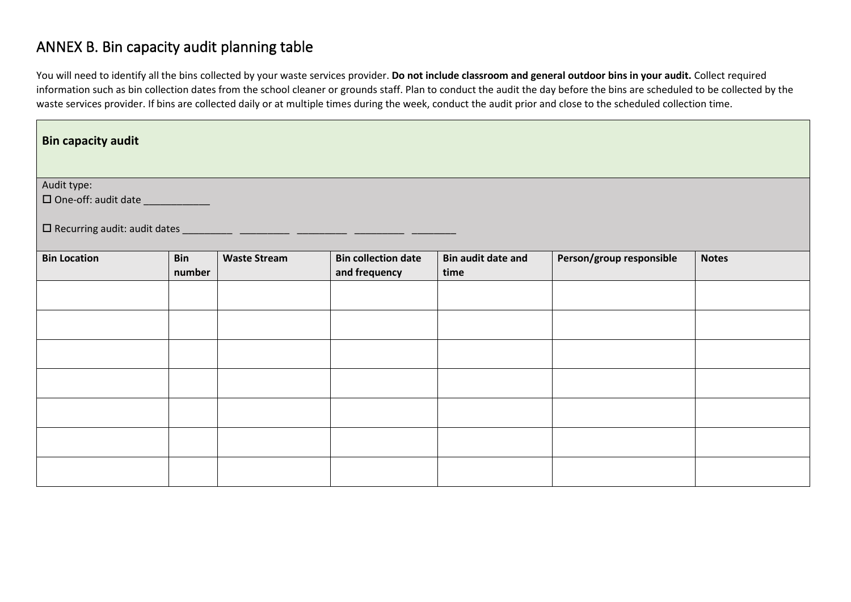### ANNEX B. Bin capacity audit planning table

You will need to identify all the bins collected by your waste services provider. **Do not include classroom and general outdoor bins in your audit.** Collect required information such as bin collection dates from the school cleaner or grounds staff. Plan to conduct the audit the day before the bins are scheduled to be collected by the waste services provider. If bins are collected daily or at multiple times during the week, conduct the audit prior and close to the scheduled collection time.

| <b>Bin capacity audit</b>          |            |                     |                            |                           |                          |              |
|------------------------------------|------------|---------------------|----------------------------|---------------------------|--------------------------|--------------|
|                                    |            |                     |                            |                           |                          |              |
| Audit type:                        |            |                     |                            |                           |                          |              |
| □ One-off: audit date ____________ |            |                     |                            |                           |                          |              |
|                                    |            |                     |                            |                           |                          |              |
| <b>Bin Location</b>                | <b>Bin</b> | <b>Waste Stream</b> | <b>Bin collection date</b> | <b>Bin audit date and</b> | Person/group responsible | <b>Notes</b> |
|                                    | number     |                     | and frequency              | time                      |                          |              |
|                                    |            |                     |                            |                           |                          |              |
|                                    |            |                     |                            |                           |                          |              |
|                                    |            |                     |                            |                           |                          |              |
|                                    |            |                     |                            |                           |                          |              |
|                                    |            |                     |                            |                           |                          |              |
|                                    |            |                     |                            |                           |                          |              |
|                                    |            |                     |                            |                           |                          |              |
|                                    |            |                     |                            |                           |                          |              |
|                                    |            |                     |                            |                           |                          |              |
|                                    |            |                     |                            |                           |                          |              |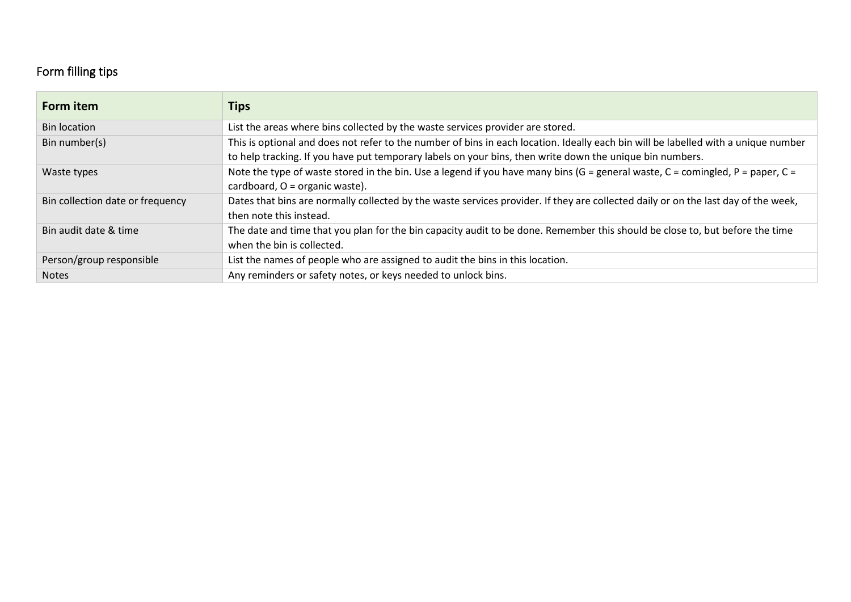### Form filling tips

| Form item                        | Tips                                                                                                                               |
|----------------------------------|------------------------------------------------------------------------------------------------------------------------------------|
| <b>Bin location</b>              | List the areas where bins collected by the waste services provider are stored.                                                     |
| Bin number(s)                    | This is optional and does not refer to the number of bins in each location. Ideally each bin will be labelled with a unique number |
|                                  | to help tracking. If you have put temporary labels on your bins, then write down the unique bin numbers.                           |
| Waste types                      | Note the type of waste stored in the bin. Use a legend if you have many bins (G = general waste, C = comingled, P = paper, C =     |
|                                  | cardboard, O = organic waste).                                                                                                     |
| Bin collection date or frequency | Dates that bins are normally collected by the waste services provider. If they are collected daily or on the last day of the week, |
|                                  | then note this instead.                                                                                                            |
| Bin audit date & time            | The date and time that you plan for the bin capacity audit to be done. Remember this should be close to, but before the time       |
|                                  | when the bin is collected.                                                                                                         |
| Person/group responsible         | List the names of people who are assigned to audit the bins in this location.                                                      |
| <b>Notes</b>                     | Any reminders or safety notes, or keys needed to unlock bins.                                                                      |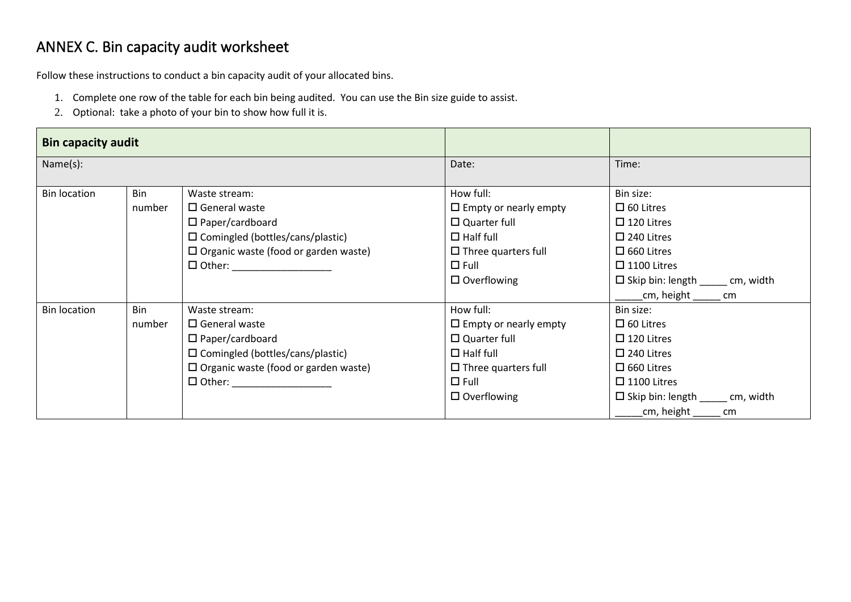# ANNEX C. Bin capacity audit worksheet

Follow these instructions to conduct a bin capacity audit of your allocated bins.

- 1. Complete one row of the table for each bin being audited. You can use the Bin size guide to assist.
- 2. Optional: take a photo of your bin to show how full it is.

| <b>Bin capacity audit</b> |        |                                                |                              |                                           |
|---------------------------|--------|------------------------------------------------|------------------------------|-------------------------------------------|
| Name(s):                  |        |                                                | Date:                        | Time:                                     |
| <b>Bin location</b>       | Bin    | Waste stream:                                  | How full:                    | Bin size:                                 |
|                           | number | $\square$ General waste                        | $\Box$ Empty or nearly empty | $\Box$ 60 Litres                          |
|                           |        | $\Box$ Paper/cardboard                         | $\square$ Quarter full       | $\Box$ 120 Litres                         |
|                           |        | □ Comingled (bottles/cans/plastic)             | $\Box$ Half full             | $\square$ 240 Litres                      |
|                           |        | $\square$ Organic waste (food or garden waste) | $\Box$ Three quarters full   | $\Box$ 660 Litres                         |
|                           |        |                                                | $\Box$ Full                  | $\Box$ 1100 Litres                        |
|                           |        |                                                | $\Box$ Overflowing           | $\Box$ Skip bin: length ______ cm, width  |
|                           |        |                                                |                              | cm, height cm                             |
| <b>Bin location</b>       | Bin    | Waste stream:                                  | How full:                    | Bin size:                                 |
|                           | number | $\square$ General waste                        | $\Box$ Empty or nearly empty | $\Box$ 60 Litres                          |
|                           |        | $\Box$ Paper/cardboard                         | $\square$ Quarter full       | $\Box$ 120 Litres                         |
|                           |        | □ Comingled (bottles/cans/plastic)             | $\Box$ Half full             | $\square$ 240 Litres                      |
|                           |        | $\Box$ Organic waste (food or garden waste)    | $\Box$ Three quarters full   | $\Box$ 660 Litres                         |
|                           |        | $\Box$ Other: _________________                | $\square$ Full               | $\Box$ 1100 Litres                        |
|                           |        |                                                | $\Box$ Overflowing           | $\Box$ Skip bin: length _______ cm, width |
|                           |        |                                                |                              | cm, height<br>cm                          |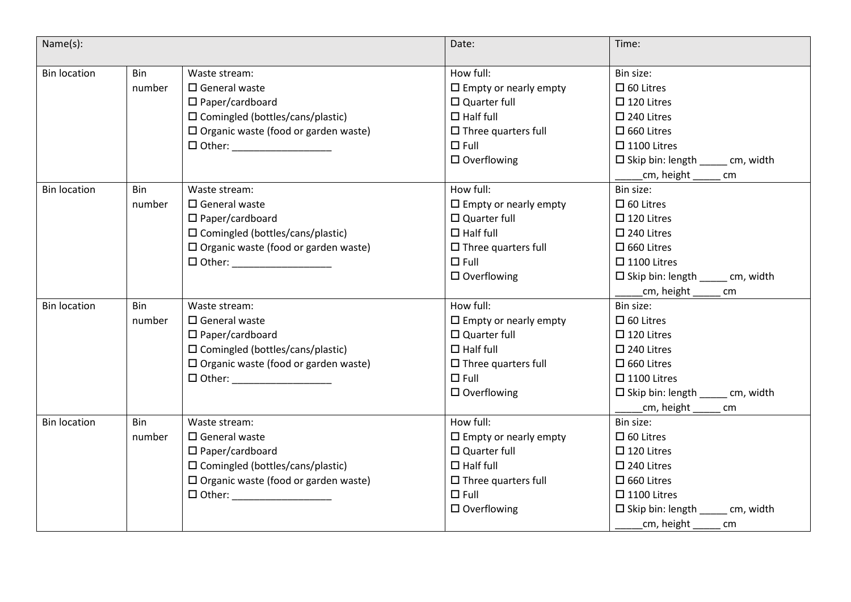| Name(s):            |            |                                                | Date:                           | Time:                                     |
|---------------------|------------|------------------------------------------------|---------------------------------|-------------------------------------------|
| <b>Bin location</b> | <b>Bin</b> | Waste stream:                                  | How full:                       | Bin size:                                 |
|                     | number     | $\square$ General waste                        | $\Box$ Empty or nearly empty    | $\Box$ 60 Litres                          |
|                     |            | $\square$ Paper/cardboard                      | $\square$ Quarter full          | $\Box$ 120 Litres                         |
|                     |            | $\square$ Comingled (bottles/cans/plastic)     | $\Box$ Half full                | $\square$ 240 Litres                      |
|                     |            | $\square$ Organic waste (food or garden waste) | $\Box$ Three quarters full      | $\Box$ 660 Litres                         |
|                     |            | $\Box$ Other: $\Box$                           | $\square$ Full                  | $\square$ 1100 Litres                     |
|                     |            |                                                | $\Box$ Overflowing              | $\Box$ Skip bin: length _______ cm, width |
|                     |            |                                                |                                 | _cm, height ___<br>cm                     |
| <b>Bin location</b> | Bin        | Waste stream:                                  | How full:                       | Bin size:                                 |
|                     | number     | $\square$ General waste                        | $\square$ Empty or nearly empty | $\square$ 60 Litres                       |
|                     |            | $\square$ Paper/cardboard                      | $\square$ Quarter full          | $\square$ 120 Litres                      |
|                     |            | $\square$ Comingled (bottles/cans/plastic)     | $\Box$ Half full                | $\square$ 240 Litres                      |
|                     |            | $\Box$ Organic waste (food or garden waste)    | $\Box$ Three quarters full      | $\square$ 660 Litres                      |
|                     |            | □ Other: ____________________                  | $\square$ Full                  | $\square$ 1100 Litres                     |
|                     |            |                                                | $\square$ Overflowing           | $\Box$ Skip bin: length _______ cm, width |
|                     |            |                                                |                                 | ____cm, height ______ cm                  |
| <b>Bin location</b> | Bin        | Waste stream:                                  | How full:                       | Bin size:                                 |
|                     | number     | $\square$ General waste                        | $\Box$ Empty or nearly empty    | $\square$ 60 Litres                       |
|                     |            | $\Box$ Paper/cardboard                         | $\Box$ Quarter full             | $\Box$ 120 Litres                         |
|                     |            | $\square$ Comingled (bottles/cans/plastic)     | $\Box$ Half full                | $\square$ 240 Litres                      |
|                     |            | $\Box$ Organic waste (food or garden waste)    | $\Box$ Three quarters full      | $\square$ 660 Litres                      |
|                     |            |                                                | $\square$ Full                  | $\square$ 1100 Litres                     |
|                     |            |                                                | $\Box$ Overflowing              | $\Box$ Skip bin: length ______ cm, width  |
|                     |            |                                                |                                 | cm, height<br>cm                          |
| <b>Bin location</b> | <b>Bin</b> | Waste stream:                                  | How full:                       | Bin size:                                 |
|                     | number     | $\square$ General waste                        | $\Box$ Empty or nearly empty    | $\square$ 60 Litres                       |
|                     |            | $\square$ Paper/cardboard                      | $\square$ Quarter full          | $\Box$ 120 Litres                         |
|                     |            | □ Comingled (bottles/cans/plastic)             | $\Box$ Half full                | $\square$ 240 Litres                      |
|                     |            | $\Box$ Organic waste (food or garden waste)    | $\Box$ Three quarters full      | $\square$ 660 Litres                      |
|                     |            |                                                | $\square$ Full                  | $\square$ 1100 Litres                     |
|                     |            |                                                | $\square$ Overflowing           | $\Box$ Skip bin: length _______ cm, width |
|                     |            |                                                |                                 | cm, height<br>cm                          |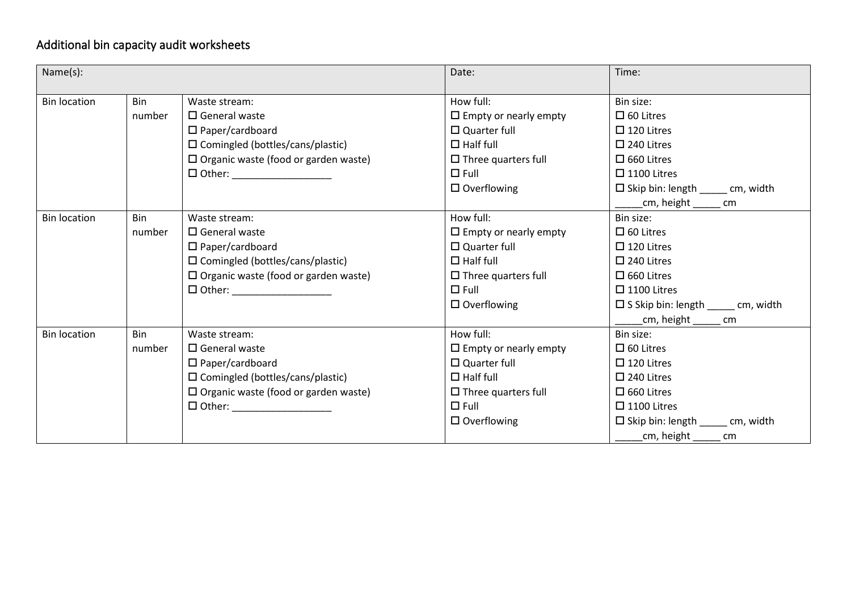# Additional bin capacity audit worksheets

| Name(s):            |        |                                                | Date:                        | Time:                                       |
|---------------------|--------|------------------------------------------------|------------------------------|---------------------------------------------|
| <b>Bin location</b> | Bin    | Waste stream:                                  | How full:                    | Bin size:                                   |
|                     | number | $\Box$ General waste                           | $\Box$ Empty or nearly empty | $\Box$ 60 Litres                            |
|                     |        | $\square$ Paper/cardboard                      | $\Box$ Quarter full          | $\Box$ 120 Litres                           |
|                     |        | $\square$ Comingled (bottles/cans/plastic)     | $\Box$ Half full             | $\square$ 240 Litres                        |
|                     |        | $\square$ Organic waste (food or garden waste) | $\Box$ Three quarters full   | $\square$ 660 Litres                        |
|                     |        | $\Box$ Other: ___________________              | $\Box$ Full                  | $\square$ 1100 Litres                       |
|                     |        |                                                | $\square$ Overflowing        | $\Box$ Skip bin: length ______ cm, width    |
|                     |        |                                                |                              | _cm, height _____ cm                        |
| <b>Bin location</b> | Bin    | Waste stream:                                  | How full:                    | Bin size:                                   |
|                     | number | $\Box$ General waste                           | $\Box$ Empty or nearly empty | $\Box$ 60 Litres                            |
|                     |        | $\square$ Paper/cardboard                      | $\Box$ Quarter full          | $\Box$ 120 Litres                           |
|                     |        | $\square$ Comingled (bottles/cans/plastic)     | $\Box$ Half full             | $\square$ 240 Litres                        |
|                     |        | $\square$ Organic waste (food or garden waste) | $\Box$ Three quarters full   | $\square$ 660 Litres                        |
|                     |        |                                                | $\square$ Full               | $\square$ 1100 Litres                       |
|                     |        |                                                | $\square$ Overflowing        | $\square$ S Skip bin: length ____ cm, width |
|                     |        |                                                |                              | _cm, height ______ cm                       |
| <b>Bin location</b> | Bin    | Waste stream:                                  | How full:                    | Bin size:                                   |
|                     | number | $\square$ General waste                        | $\Box$ Empty or nearly empty | $\Box$ 60 Litres                            |
|                     |        | $\square$ Paper/cardboard                      | $\Box$ Quarter full          | $\Box$ 120 Litres                           |
|                     |        | □ Comingled (bottles/cans/plastic)             | $\Box$ Half full             | $\square$ 240 Litres                        |
|                     |        | $\square$ Organic waste (food or garden waste) | $\Box$ Three quarters full   | $\square$ 660 Litres                        |
|                     |        |                                                | $\Box$ Full                  | $\Box$ 1100 Litres                          |
|                     |        |                                                | $\Box$ Overflowing           | $\Box$ Skip bin: length ______ cm, width    |
|                     |        |                                                |                              | cm, height _____ cm                         |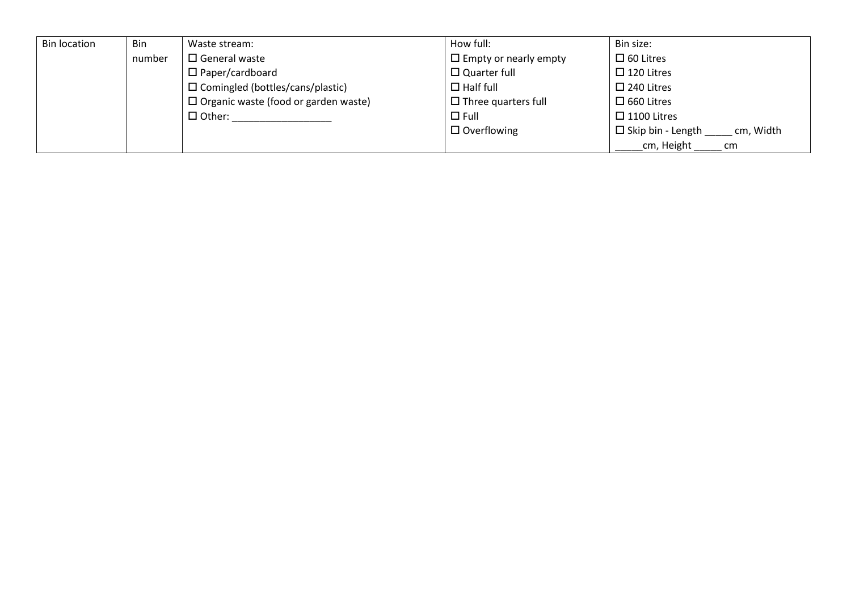| <b>Bin location</b> | <b>Bin</b> | Waste stream:                               | How full:                    | Bin size:                             |
|---------------------|------------|---------------------------------------------|------------------------------|---------------------------------------|
|                     | number     | $\Box$ General waste                        | $\Box$ Empty or nearly empty | $\Box$ 60 Litres                      |
|                     |            | $\Box$ Paper/cardboard                      | $\Box$ Quarter full          | $\Box$ 120 Litres                     |
|                     |            | $\square$ Comingled (bottles/cans/plastic)  | $\Box$ Half full             | $\Box$ 240 Litres                     |
|                     |            | $\Box$ Organic waste (food or garden waste) | $\Box$ Three quarters full   | $\square$ 660 Litres                  |
|                     |            | $\Box$ Other:                               | $\Box$ Full                  | $\Box$ 1100 Litres                    |
|                     |            |                                             | $\Box$ Overflowing           | $\Box$ Skip bin - Length<br>cm, Width |
|                     |            |                                             |                              | cm, Height<br>cm                      |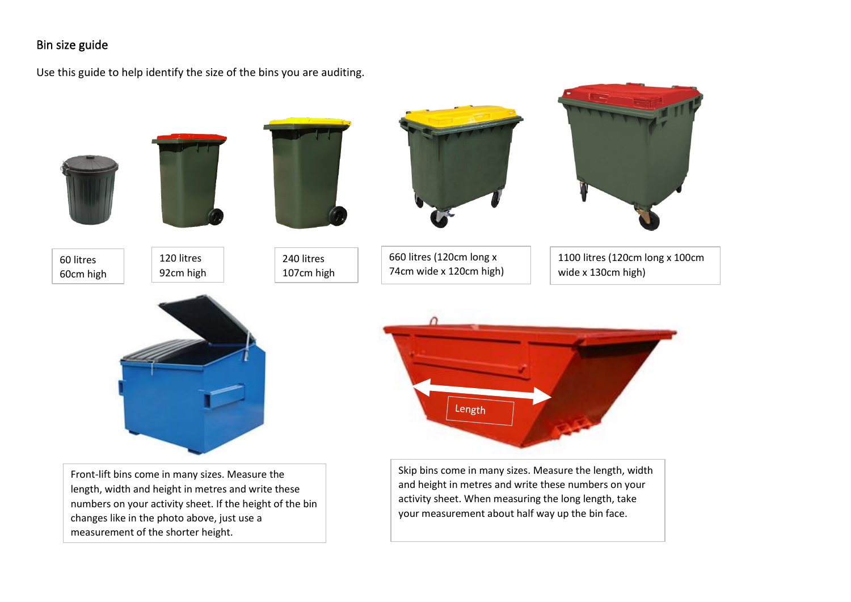#### Bin size guide

Use this guide to help identify the size of the bins you are auditing.

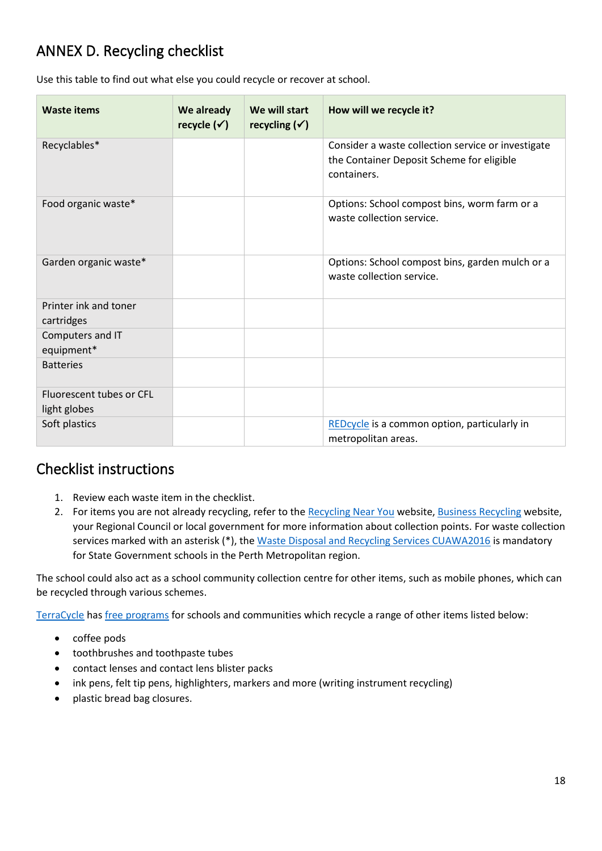# ANNEX D. Recycling checklist

Use this table to find out what else you could recycle or recover at school.

| <b>Waste items</b>                       | We already<br>recycle $(\checkmark)$ | We will start<br>recycling $(\checkmark)$ | How will we recycle it?                                                                                        |
|------------------------------------------|--------------------------------------|-------------------------------------------|----------------------------------------------------------------------------------------------------------------|
| Recyclables*                             |                                      |                                           | Consider a waste collection service or investigate<br>the Container Deposit Scheme for eligible<br>containers. |
| Food organic waste*                      |                                      |                                           | Options: School compost bins, worm farm or a<br>waste collection service.                                      |
| Garden organic waste*                    |                                      |                                           | Options: School compost bins, garden mulch or a<br>waste collection service.                                   |
| Printer ink and toner<br>cartridges      |                                      |                                           |                                                                                                                |
| Computers and IT<br>equipment*           |                                      |                                           |                                                                                                                |
| <b>Batteries</b>                         |                                      |                                           |                                                                                                                |
| Fluorescent tubes or CFL<br>light globes |                                      |                                           |                                                                                                                |
| Soft plastics                            |                                      |                                           | REDcycle is a common option, particularly in<br>metropolitan areas.                                            |

### Checklist instructions

- 1. Review each waste item in the checklist.
- 2. For items you are not already recycling, refer to th[e Recycling Near You](https://recyclingnearyou.com.au/) website[, Business Recycling](https://businessrecycling.com.au/) website, your Regional Council or local government for more information about collection points. For waste collection services marked with an asterisk (\*), the [Waste Disposal and Recycling Services CUAWA2016](https://www.wa.gov.au/government/cuas/waste-disposal-and-recycling-services-cuawas2016) is mandatory for State Government schools in the Perth Metropolitan region.

The school could also act as a school community collection centre for other items, such as mobile phones, which can be recycled through various schemes.

[TerraCycle](https://www.terracycle.com/) has [free programs](https://www.terracycle.com/en-AU/brigades) for schools and communities which recycle a range of other items listed below:

- coffee pods
- toothbrushes and toothpaste tubes
- contact lenses and contact lens blister packs
- ink pens, felt tip pens, highlighters, markers and more (writing instrument recycling)
- plastic bread bag closures.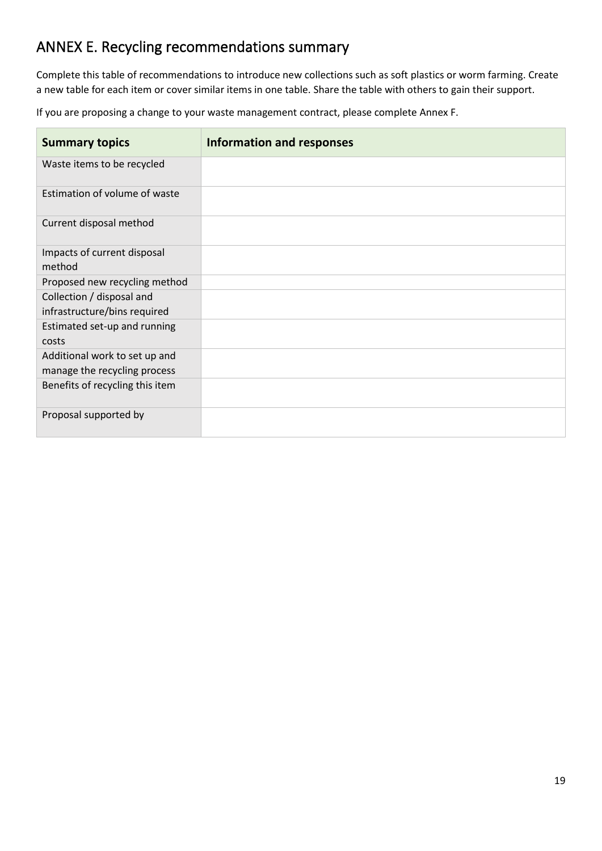### ANNEX E. Recycling recommendations summary

Complete this table of recommendations to introduce new collections such as soft plastics or worm farming. Create a new table for each item or cover similar items in one table. Share the table with others to gain their support.

If you are proposing a change to your waste management contract, please complete Annex F.

| <b>Summary topics</b>           | <b>Information and responses</b> |
|---------------------------------|----------------------------------|
| Waste items to be recycled      |                                  |
| Estimation of volume of waste   |                                  |
| Current disposal method         |                                  |
| Impacts of current disposal     |                                  |
| method                          |                                  |
| Proposed new recycling method   |                                  |
| Collection / disposal and       |                                  |
| infrastructure/bins required    |                                  |
| Estimated set-up and running    |                                  |
| costs                           |                                  |
| Additional work to set up and   |                                  |
| manage the recycling process    |                                  |
| Benefits of recycling this item |                                  |
| Proposal supported by           |                                  |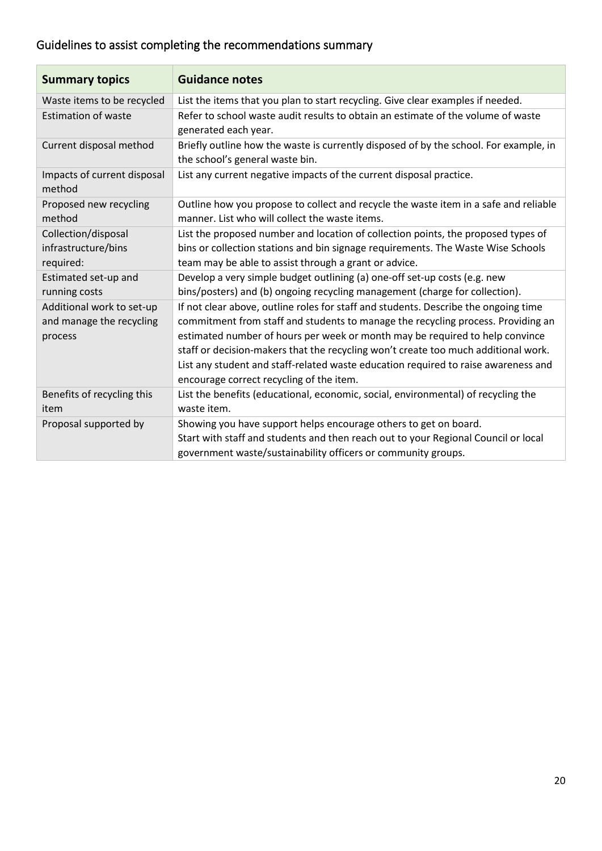# Guidelines to assist completing the recommendations summary

| <b>Summary topics</b>                                            | <b>Guidance notes</b>                                                                                                                                                                                                                                                                                                                                                                                                                                                           |
|------------------------------------------------------------------|---------------------------------------------------------------------------------------------------------------------------------------------------------------------------------------------------------------------------------------------------------------------------------------------------------------------------------------------------------------------------------------------------------------------------------------------------------------------------------|
| Waste items to be recycled                                       | List the items that you plan to start recycling. Give clear examples if needed.                                                                                                                                                                                                                                                                                                                                                                                                 |
| <b>Estimation of waste</b>                                       | Refer to school waste audit results to obtain an estimate of the volume of waste<br>generated each year.                                                                                                                                                                                                                                                                                                                                                                        |
| Current disposal method                                          | Briefly outline how the waste is currently disposed of by the school. For example, in<br>the school's general waste bin.                                                                                                                                                                                                                                                                                                                                                        |
| Impacts of current disposal<br>method                            | List any current negative impacts of the current disposal practice.                                                                                                                                                                                                                                                                                                                                                                                                             |
| Proposed new recycling<br>method                                 | Outline how you propose to collect and recycle the waste item in a safe and reliable<br>manner. List who will collect the waste items.                                                                                                                                                                                                                                                                                                                                          |
| Collection/disposal<br>infrastructure/bins<br>required:          | List the proposed number and location of collection points, the proposed types of<br>bins or collection stations and bin signage requirements. The Waste Wise Schools<br>team may be able to assist through a grant or advice.                                                                                                                                                                                                                                                  |
| Estimated set-up and<br>running costs                            | Develop a very simple budget outlining (a) one-off set-up costs (e.g. new<br>bins/posters) and (b) ongoing recycling management (charge for collection).                                                                                                                                                                                                                                                                                                                        |
| Additional work to set-up<br>and manage the recycling<br>process | If not clear above, outline roles for staff and students. Describe the ongoing time<br>commitment from staff and students to manage the recycling process. Providing an<br>estimated number of hours per week or month may be required to help convince<br>staff or decision-makers that the recycling won't create too much additional work.<br>List any student and staff-related waste education required to raise awareness and<br>encourage correct recycling of the item. |
| Benefits of recycling this<br>item                               | List the benefits (educational, economic, social, environmental) of recycling the<br>waste item.                                                                                                                                                                                                                                                                                                                                                                                |
| Proposal supported by                                            | Showing you have support helps encourage others to get on board.<br>Start with staff and students and then reach out to your Regional Council or local<br>government waste/sustainability officers or community groups.                                                                                                                                                                                                                                                         |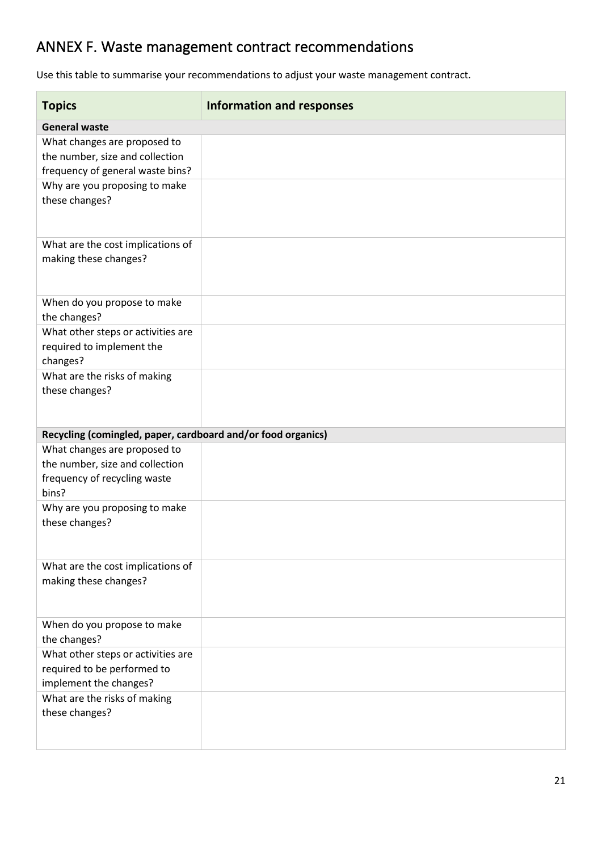# ANNEX F. Waste management contract recommendations

Use this table to summarise your recommendations to adjust your waste management contract.

| <b>Topics</b>                                                | <b>Information and responses</b> |
|--------------------------------------------------------------|----------------------------------|
| <b>General waste</b>                                         |                                  |
| What changes are proposed to                                 |                                  |
| the number, size and collection                              |                                  |
| frequency of general waste bins?                             |                                  |
| Why are you proposing to make                                |                                  |
| these changes?                                               |                                  |
|                                                              |                                  |
|                                                              |                                  |
| What are the cost implications of                            |                                  |
| making these changes?                                        |                                  |
|                                                              |                                  |
| When do you propose to make                                  |                                  |
| the changes?                                                 |                                  |
| What other steps or activities are                           |                                  |
| required to implement the                                    |                                  |
| changes?                                                     |                                  |
| What are the risks of making                                 |                                  |
| these changes?                                               |                                  |
|                                                              |                                  |
|                                                              |                                  |
| Recycling (comingled, paper, cardboard and/or food organics) |                                  |
| What changes are proposed to                                 |                                  |
| the number, size and collection                              |                                  |
| frequency of recycling waste                                 |                                  |
| bins?                                                        |                                  |
| Why are you proposing to make                                |                                  |
| these changes?                                               |                                  |
|                                                              |                                  |
| What are the cost implications of                            |                                  |
| making these changes?                                        |                                  |
|                                                              |                                  |
|                                                              |                                  |
| When do you propose to make                                  |                                  |
| the changes?                                                 |                                  |
| What other steps or activities are                           |                                  |
| required to be performed to                                  |                                  |
| implement the changes?                                       |                                  |
| What are the risks of making                                 |                                  |
| these changes?                                               |                                  |
|                                                              |                                  |
|                                                              |                                  |